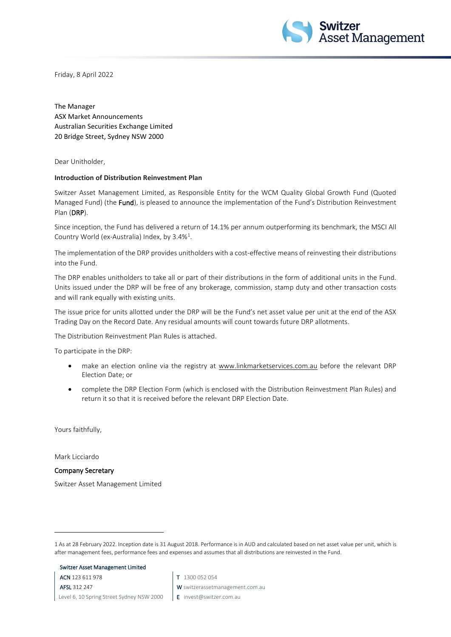

Friday, 8 April 2022

The Manager ASX Market Announcements Australian Securities Exchange Limited 20 Bridge Street, Sydney NSW 2000

Dear Unitholder,

#### **Introduction of Distribution Reinvestment Plan**

Switzer Asset Management Limited, as Responsible Entity for the WCM Quality Global Growth Fund (Quoted Managed Fund) (the Fund), is pleased to announce the implementation of the Fund's Distribution Reinvestment Plan (DRP).

Since inception, the Fund has delivered a return of 14.1% per annum outperforming its benchmark, the MSCI All Country World (ex-Australia) Index, by 3.4%<sup>[1](#page-0-0)</sup>.

The implementation of the DRP provides unitholders with a cost-effective means of reinvesting their distributions into the Fund.

The DRP enables unitholders to take all or part of their distributions in the form of additional units in the Fund. Units issued under the DRP will be free of any brokerage, commission, stamp duty and other transaction costs and will rank equally with existing units.

The issue price for units allotted under the DRP will be the Fund's net asset value per unit at the end of the ASX Trading Day on the Record Date. Any residual amounts will count towards future DRP allotments.

The Distribution Reinvestment Plan Rules is attached.

To participate in the DRP:

- make an election online via the registry at [www.linkmarketservices.com.au](http://www.linkmarketservices.com.au/) before the relevant DRP Election Date; or
- complete the DRP Election Form (which is enclosed with the Distribution Reinvestment Plan Rules) and return it so that it is received before the relevant DRP Election Date.

Yours faithfully,

Mark Licciardo

Company Secretary

Switzer Asset Management Limited

Switzer Asset Management Limited

ACN 123 611 978

AFSL 312 247 Level 6, 10 Spring Street Sydney NSW 2000

- T 1300 052 054
- W switzerassetmanagement.com.au
- E invest@switzer.com.au

<span id="page-0-0"></span><sup>1</sup> As at 28 February 2022. Inception date is 31 August 2018. Performance is in AUD and calculated based on net asset value per unit, which is after management fees, performance fees and expenses and assumes that all distributions are reinvested in the Fund.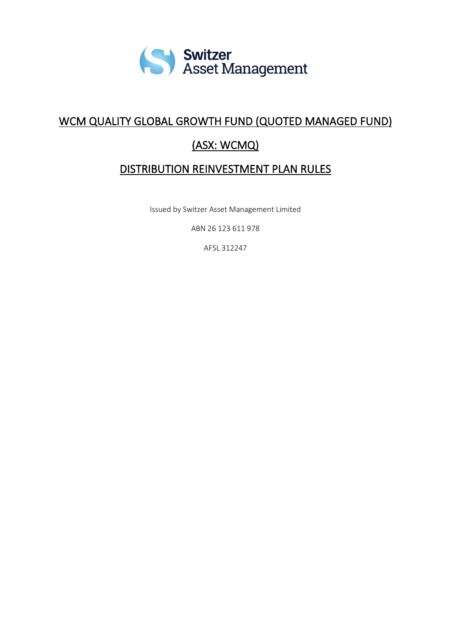

# WCM QUALITY GLOBAL GROWTH FUND (QUOTED MANAGED FUND)

# (ASX: WCMQ)

# DISTRIBUTION REINVESTMENT PLAN RULES

Issued by Switzer Asset Management Limited

ABN 26 123 611 978

AFSL 312247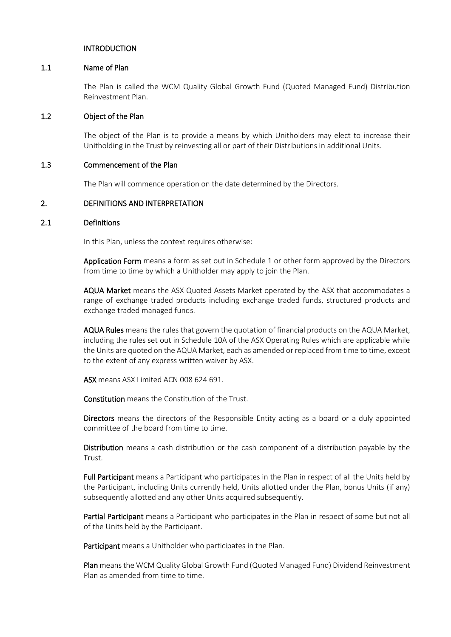#### INTRODUCTION

#### 1.1 Name of Plan

The Plan is called the WCM Quality Global Growth Fund (Quoted Managed Fund) Distribution Reinvestment Plan.

#### 1.2 Object of the Plan

The object of the Plan is to provide a means by which Unitholders may elect to increase their Unitholding in the Trust by reinvesting all or part of their Distributions in additional Units.

#### 1.3 Commencement of the Plan

The Plan will commence operation on the date determined by the Directors.

### 2. DEFINITIONS AND INTERPRETATION

#### 2.1 Definitions

In this Plan, unless the context requires otherwise:

Application Form means a form as set out in Schedule 1 or other form approved by the Directors from time to time by which a Unitholder may apply to join the Plan.

AQUA Market means the ASX Quoted Assets Market operated by the ASX that accommodates a range of exchange traded products including exchange traded funds, structured products and exchange traded managed funds.

AQUA Rules means the rules that govern the quotation of financial products on the AQUA Market, including the rules set out in Schedule 10A of the ASX Operating Rules which are applicable while the Units are quoted on the AQUA Market, each as amended or replaced from time to time, except to the extent of any express written waiver by ASX.

ASX means ASX Limited ACN 008 624 691.

Constitution means the Constitution of the Trust.

Directors means the directors of the Responsible Entity acting as a board or a duly appointed committee of the board from time to time.

Distribution means a cash distribution or the cash component of a distribution payable by the Trust.

Full Participant means a Participant who participates in the Plan in respect of all the Units held by the Participant, including Units currently held, Units allotted under the Plan, bonus Units (if any) subsequently allotted and any other Units acquired subsequently.

Partial Participant means a Participant who participates in the Plan in respect of some but not all of the Units held by the Participant.

Participant means a Unitholder who participates in the Plan.

Plan means the WCM Quality Global Growth Fund (Quoted Managed Fund) Dividend Reinvestment Plan as amended from time to time.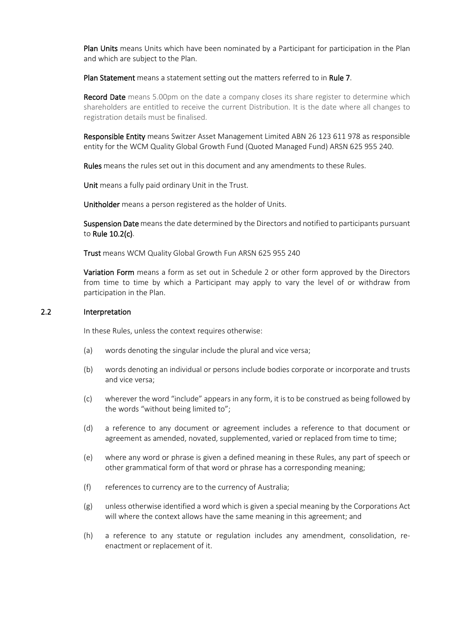Plan Units means Units which have been nominated by a Participant for participation in the Plan and which are subject to the Plan.

Plan Statement means a statement setting out the matters referred to in Rule 7.

**Record Date** means 5.00pm on the date a company closes its share register to determine which shareholders are entitled to receive the current Distribution. It is the date where all changes to registration details must be finalised.

Responsible Entity means Switzer Asset Management Limited ABN 26 123 611 978 as responsible entity for the WCM Quality Global Growth Fund (Quoted Managed Fund) ARSN 625 955 240.

Rules means the rules set out in this document and any amendments to these Rules.

Unit means a fully paid ordinary Unit in the Trust.

Unitholder means a person registered as the holder of Units.

Suspension Date means the date determined by the Directors and notified to participants pursuant to Rule 10.2(c).

Trust means WCM Quality Global Growth Fun ARSN 625 955 240

Variation Form means a form as set out in Schedule 2 or other form approved by the Directors from time to time by which a Participant may apply to vary the level of or withdraw from participation in the Plan.

#### 2.2 Interpretation

In these Rules, unless the context requires otherwise:

- (a) words denoting the singular include the plural and vice versa;
- (b) words denoting an individual or persons include bodies corporate or incorporate and trusts and vice versa;
- (c) wherever the word "include" appears in any form, it is to be construed as being followed by the words "without being limited to";
- (d) a reference to any document or agreement includes a reference to that document or agreement as amended, novated, supplemented, varied or replaced from time to time;
- (e) where any word or phrase is given a defined meaning in these Rules, any part of speech or other grammatical form of that word or phrase has a corresponding meaning;
- (f) references to currency are to the currency of Australia;
- (g) unless otherwise identified a word which is given a special meaning by the Corporations Act will where the context allows have the same meaning in this agreement; and
- (h) a reference to any statute or regulation includes any amendment, consolidation, reenactment or replacement of it.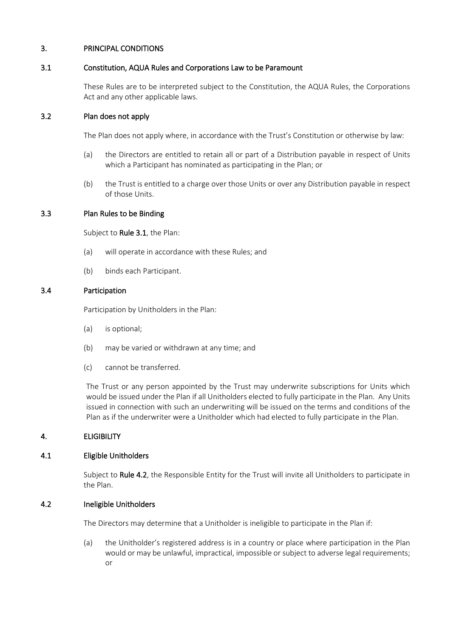### 3. PRINCIPAL CONDITIONS

#### 3.1 Constitution, AQUA Rules and Corporations Law to be Paramount

These Rules are to be interpreted subject to the Constitution, the AQUA Rules, the Corporations Act and any other applicable laws.

#### 3.2 Plan does not apply

The Plan does not apply where, in accordance with the Trust's Constitution or otherwise by law:

- (a) the Directors are entitled to retain all or part of a Distribution payable in respect of Units which a Participant has nominated as participating in the Plan; or
- (b) the Trust is entitled to a charge over those Units or over any Distribution payable in respect of those Units.

#### 3.3 Plan Rules to be Binding

Subject to Rule 3.1, the Plan:

- (a) will operate in accordance with these Rules; and
- (b) binds each Participant.

### 3.4 Participation

Participation by Unitholders in the Plan:

- (a) is optional;
- (b) may be varied or withdrawn at any time; and
- (c) cannot be transferred.

The Trust or any person appointed by the Trust may underwrite subscriptions for Units which would be issued under the Plan if all Unitholders elected to fully participate in the Plan. Any Units issued in connection with such an underwriting will be issued on the terms and conditions of the Plan as if the underwriter were a Unitholder which had elected to fully participate in the Plan.

## 4. ELIGIBILITY

#### 4.1 Eligible Unitholders

Subject to Rule 4.2, the Responsible Entity for the Trust will invite all Unitholders to participate in the Plan.

#### 4.2 Ineligible Unitholders

The Directors may determine that a Unitholder is ineligible to participate in the Plan if:

(a) the Unitholder's registered address is in a country or place where participation in the Plan would or may be unlawful, impractical, impossible or subject to adverse legal requirements; or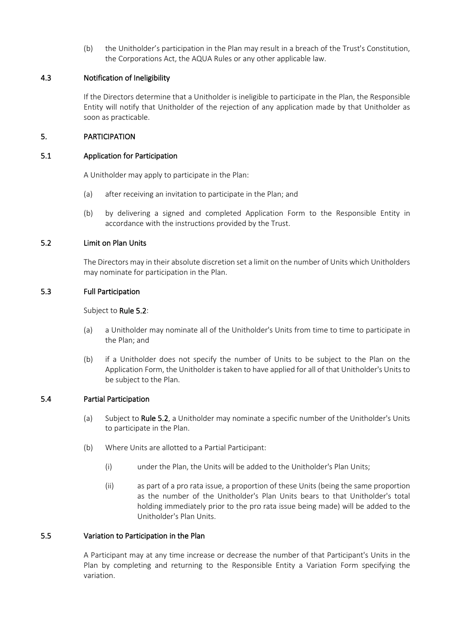(b) the Unitholder's participation in the Plan may result in a breach of the Trust's Constitution, the Corporations Act, the AQUA Rules or any other applicable law.

### 4.3 Notification of Ineligibility

If the Directors determine that a Unitholder is ineligible to participate in the Plan, the Responsible Entity will notify that Unitholder of the rejection of any application made by that Unitholder as soon as practicable.

### 5. PARTICIPATION

### 5.1 Application for Participation

A Unitholder may apply to participate in the Plan:

- (a) after receiving an invitation to participate in the Plan; and
- (b) by delivering a signed and completed Application Form to the Responsible Entity in accordance with the instructions provided by the Trust.

### 5.2 Limit on Plan Units

The Directors may in their absolute discretion set a limit on the number of Units which Unitholders may nominate for participation in the Plan.

### 5.3 Full Participation

#### Subject to Rule 5.2:

- (a) a Unitholder may nominate all of the Unitholder's Units from time to time to participate in the Plan; and
- (b) if a Unitholder does not specify the number of Units to be subject to the Plan on the Application Form, the Unitholder is taken to have applied for all of that Unitholder's Units to be subject to the Plan.

## 5.4 Partial Participation

- (a) Subject to Rule 5.2, a Unitholder may nominate a specific number of the Unitholder's Units to participate in the Plan.
- (b) Where Units are allotted to a Partial Participant:
	- (i) under the Plan, the Units will be added to the Unitholder's Plan Units;
	- (ii) as part of a pro rata issue, a proportion of these Units (being the same proportion as the number of the Unitholder's Plan Units bears to that Unitholder's total holding immediately prior to the pro rata issue being made) will be added to the Unitholder's Plan Units.

### 5.5 Variation to Participation in the Plan

A Participant may at any time increase or decrease the number of that Participant's Units in the Plan by completing and returning to the Responsible Entity a Variation Form specifying the variation.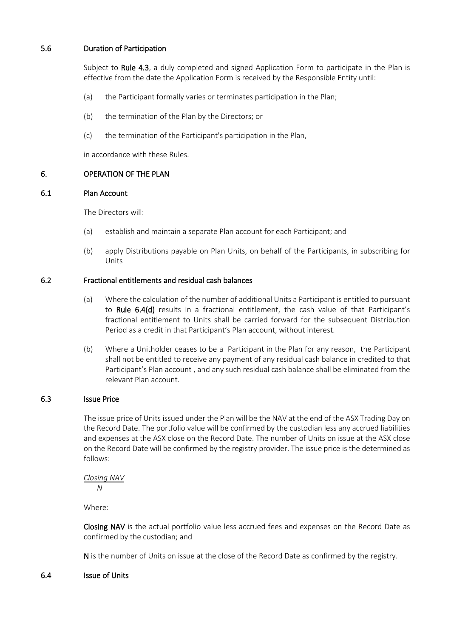## 5.6 Duration of Participation

Subject to Rule 4.3, a duly completed and signed Application Form to participate in the Plan is effective from the date the Application Form is received by the Responsible Entity until:

- (a) the Participant formally varies or terminates participation in the Plan;
- (b) the termination of the Plan by the Directors; or
- (c) the termination of the Participant's participation in the Plan,

in accordance with these Rules.

## 6. OPERATION OF THE PLAN

### 6.1 Plan Account

The Directors will:

- (a) establish and maintain a separate Plan account for each Participant; and
- (b) apply Distributions payable on Plan Units, on behalf of the Participants, in subscribing for Units

## 6.2 Fractional entitlements and residual cash balances

- (a) Where the calculation of the number of additional Units a Participant is entitled to pursuant to Rule 6.4(d) results in a fractional entitlement, the cash value of that Participant's fractional entitlement to Units shall be carried forward for the subsequent Distribution Period as a credit in that Participant's Plan account, without interest.
- (b) Where a Unitholder ceases to be a Participant in the Plan for any reason, the Participant shall not be entitled to receive any payment of any residual cash balance in credited to that Participant's Plan account , and any such residual cash balance shall be eliminated from the relevant Plan account.

#### 6.3 Issue Price

The issue price of Units issued under the Plan will be the NAV at the end of the ASX Trading Day on the Record Date. The portfolio value will be confirmed by the custodian less any accrued liabilities and expenses at the ASX close on the Record Date. The number of Units on issue at the ASX close on the Record Date will be confirmed by the registry provider. The issue price is the determined as follows:

*Closing NAV N* 

Where:

Closing NAV is the actual portfolio value less accrued fees and expenses on the Record Date as confirmed by the custodian; and

N is the number of Units on issue at the close of the Record Date as confirmed by the registry.

#### 6.4 Issue of Units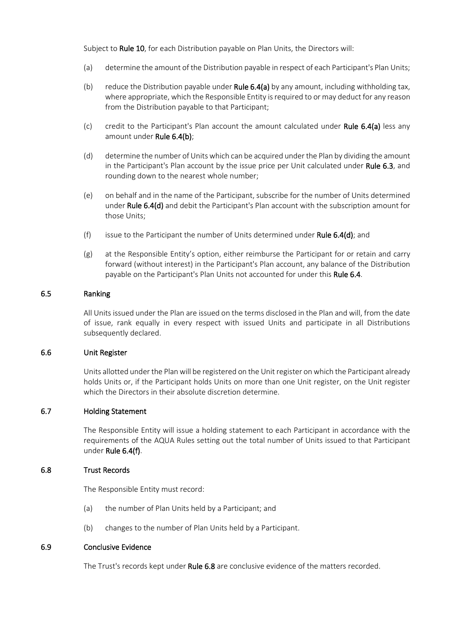Subject to Rule 10, for each Distribution payable on Plan Units, the Directors will:

- (a) determine the amount of the Distribution payable in respect of each Participant's Plan Units;
- (b) reduce the Distribution payable under Rule  $6.4(a)$  by any amount, including withholding tax, where appropriate, which the Responsible Entity is required to or may deduct for any reason from the Distribution payable to that Participant;
- (c) credit to the Participant's Plan account the amount calculated under Rule  $6.4(a)$  less any amount under Rule 6.4(b);
- (d) determine the number of Units which can be acquired under the Plan by dividing the amount in the Participant's Plan account by the issue price per Unit calculated under Rule 6.3, and rounding down to the nearest whole number;
- (e) on behalf and in the name of the Participant, subscribe for the number of Units determined under Rule 6.4(d) and debit the Participant's Plan account with the subscription amount for those Units;
- (f) issue to the Participant the number of Units determined under Rule 6.4(d); and
- (g) at the Responsible Entity's option, either reimburse the Participant for or retain and carry forward (without interest) in the Participant's Plan account, any balance of the Distribution payable on the Participant's Plan Units not accounted for under this Rule 6.4.

### 6.5 Ranking

All Units issued under the Plan are issued on the terms disclosed in the Plan and will, from the date of issue, rank equally in every respect with issued Units and participate in all Distributions subsequently declared.

#### 6.6 Unit Register

Units allotted under the Plan will be registered on the Unit register on which the Participant already holds Units or, if the Participant holds Units on more than one Unit register, on the Unit register which the Directors in their absolute discretion determine.

#### 6.7 Holding Statement

The Responsible Entity will issue a holding statement to each Participant in accordance with the requirements of the AQUA Rules setting out the total number of Units issued to that Participant under Rule 6.4(f).

#### 6.8 Trust Records

The Responsible Entity must record:

- (a) the number of Plan Units held by a Participant; and
- (b) changes to the number of Plan Units held by a Participant.

#### 6.9 Conclusive Evidence

The Trust's records kept under Rule 6.8 are conclusive evidence of the matters recorded.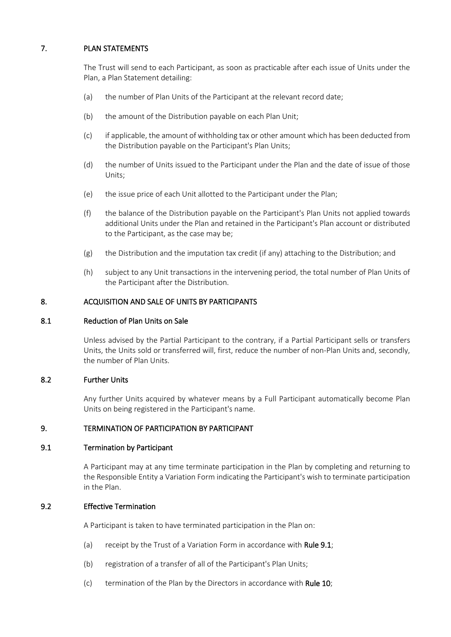# 7. PLAN STATEMENTS

The Trust will send to each Participant, as soon as practicable after each issue of Units under the Plan, a Plan Statement detailing:

- (a) the number of Plan Units of the Participant at the relevant record date;
- (b) the amount of the Distribution payable on each Plan Unit;
- (c) if applicable, the amount of withholding tax or other amount which has been deducted from the Distribution payable on the Participant's Plan Units;
- (d) the number of Units issued to the Participant under the Plan and the date of issue of those Units;
- (e) the issue price of each Unit allotted to the Participant under the Plan;
- (f) the balance of the Distribution payable on the Participant's Plan Units not applied towards additional Units under the Plan and retained in the Participant's Plan account or distributed to the Participant, as the case may be;
- (g) the Distribution and the imputation tax credit (if any) attaching to the Distribution; and
- (h) subject to any Unit transactions in the intervening period, the total number of Plan Units of the Participant after the Distribution.

### 8. ACQUISITION AND SALE OF UNITS BY PARTICIPANTS

#### 8.1 Reduction of Plan Units on Sale

Unless advised by the Partial Participant to the contrary, if a Partial Participant sells or transfers Units, the Units sold or transferred will, first, reduce the number of non-Plan Units and, secondly, the number of Plan Units.

#### 8.2 Further Units

Any further Units acquired by whatever means by a Full Participant automatically become Plan Units on being registered in the Participant's name.

## 9. TERMINATION OF PARTICIPATION BY PARTICIPANT

#### 9.1 Termination by Participant

A Participant may at any time terminate participation in the Plan by completing and returning to the Responsible Entity a Variation Form indicating the Participant's wish to terminate participation in the Plan.

## 9.2 Effective Termination

A Participant is taken to have terminated participation in the Plan on:

- (a) receipt by the Trust of a Variation Form in accordance with Rule 9.1;
- (b) registration of a transfer of all of the Participant's Plan Units;
- (c) termination of the Plan by the Directors in accordance with Rule 10;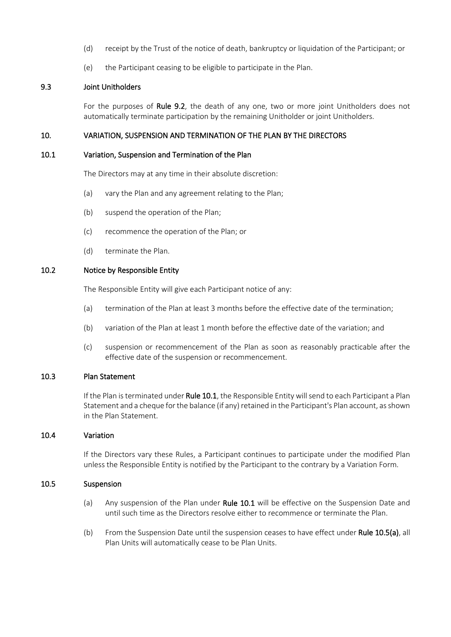- (d) receipt by the Trust of the notice of death, bankruptcy or liquidation of the Participant; or
- (e) the Participant ceasing to be eligible to participate in the Plan.

### 9.3 Joint Unitholders

For the purposes of Rule 9.2, the death of any one, two or more joint Unitholders does not automatically terminate participation by the remaining Unitholder or joint Unitholders.

#### 10. VARIATION, SUSPENSION AND TERMINATION OF THE PLAN BY THE DIRECTORS

#### 10.1 Variation, Suspension and Termination of the Plan

The Directors may at any time in their absolute discretion:

- (a) vary the Plan and any agreement relating to the Plan;
- (b) suspend the operation of the Plan;
- (c) recommence the operation of the Plan; or
- (d) terminate the Plan.

#### 10.2 Notice by Responsible Entity

The Responsible Entity will give each Participant notice of any:

- (a) termination of the Plan at least 3 months before the effective date of the termination;
- (b) variation of the Plan at least 1 month before the effective date of the variation; and
- (c) suspension or recommencement of the Plan as soon as reasonably practicable after the effective date of the suspension or recommencement.

#### 10.3 Plan Statement

If the Plan is terminated under Rule 10.1, the Responsible Entity will send to each Participant a Plan Statement and a cheque for the balance (if any) retained in the Participant's Plan account, as shown in the Plan Statement.

#### 10.4 Variation

If the Directors vary these Rules, a Participant continues to participate under the modified Plan unless the Responsible Entity is notified by the Participant to the contrary by a Variation Form.

#### 10.5 Suspension

- (a) Any suspension of the Plan under Rule 10.1 will be effective on the Suspension Date and until such time as the Directors resolve either to recommence or terminate the Plan.
- (b) From the Suspension Date until the suspension ceases to have effect under Rule 10.5(a), all Plan Units will automatically cease to be Plan Units.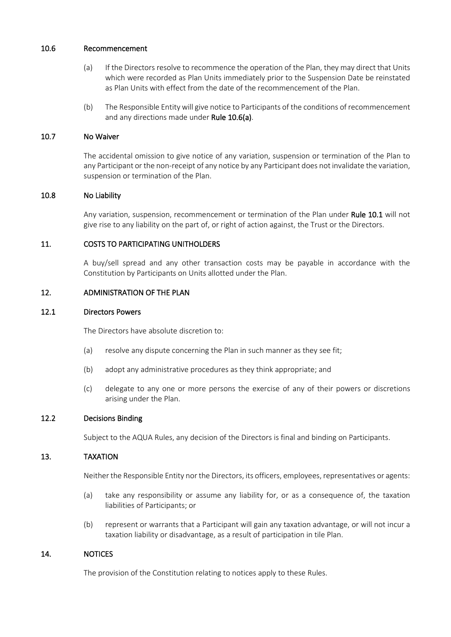#### 10.6 Recommencement

- (a) If the Directors resolve to recommence the operation of the Plan, they may direct that Units which were recorded as Plan Units immediately prior to the Suspension Date be reinstated as Plan Units with effect from the date of the recommencement of the Plan.
- (b) The Responsible Entity will give notice to Participants of the conditions of recommencement and any directions made under Rule 10.6(a).

### 10.7 No Waiver

The accidental omission to give notice of any variation, suspension or termination of the Plan to any Participant or the non-receipt of any notice by any Participant does not invalidate the variation, suspension or termination of the Plan.

#### 10.8 No Liability

Any variation, suspension, recommencement or termination of the Plan under Rule 10.1 will not give rise to any liability on the part of, or right of action against, the Trust or the Directors.

#### 11. COSTS TO PARTICIPATING UNITHOLDERS

A buy/sell spread and any other transaction costs may be payable in accordance with the Constitution by Participants on Units allotted under the Plan.

#### 12. ADMINISTRATION OF THE PLAN

#### 12.1 Directors Powers

The Directors have absolute discretion to:

- (a) resolve any dispute concerning the Plan in such manner as they see fit;
- (b) adopt any administrative procedures as they think appropriate; and
- (c) delegate to any one or more persons the exercise of any of their powers or discretions arising under the Plan.

#### 12.2 Decisions Binding

Subject to the AQUA Rules, any decision of the Directors is final and binding on Participants.

#### 13. TAXATION

Neither the Responsible Entity nor the Directors, its officers, employees, representatives or agents:

- (a) take any responsibility or assume any liability for, or as a consequence of, the taxation liabilities of Participants; or
- (b) represent or warrants that a Participant will gain any taxation advantage, or will not incur a taxation liability or disadvantage, as a result of participation in tile Plan.

#### 14. NOTICES

The provision of the Constitution relating to notices apply to these Rules.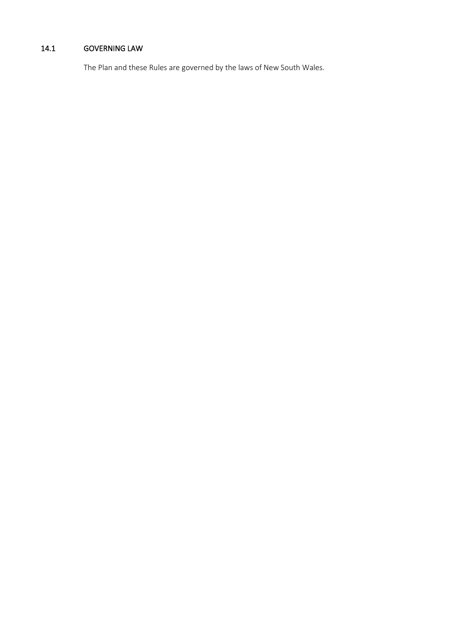# 14.1 GOVERNING LAW

The Plan and these Rules are governed by the laws of New South Wales.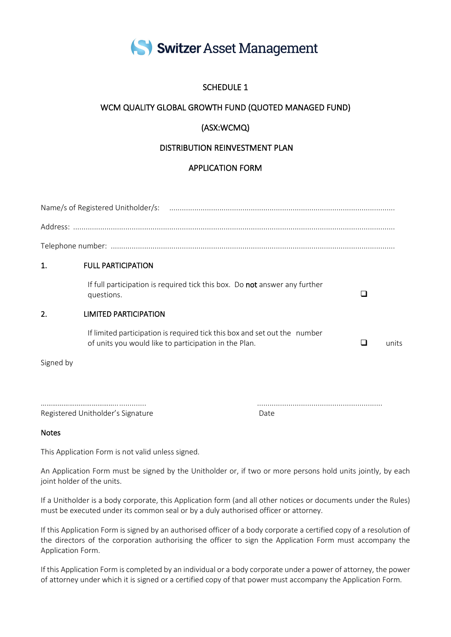

# SCHEDULE 1

# WCM QUALITY GLOBAL GROWTH FUND (QUOTED MANAGED FUND)

# (ASX:WCMQ)

# DISTRIBUTION REINVESTMENT PLAN

# APPLICATION FORM

| $\mathbf{1}$                      | <b>FULL PARTICIPATION</b>                                                                                                          |                                                                                   |  |   |       |
|-----------------------------------|------------------------------------------------------------------------------------------------------------------------------------|-----------------------------------------------------------------------------------|--|---|-------|
|                                   | questions.                                                                                                                         | If full participation is required tick this box. Do <b>not</b> answer any further |  | □ |       |
| $\overline{2}$ .                  | LIMITED PARTICIPATION                                                                                                              |                                                                                   |  |   |       |
|                                   | If limited participation is required tick this box and set out the number<br>of units you would like to participation in the Plan. |                                                                                   |  | ப | units |
| Signed by                         |                                                                                                                                    |                                                                                   |  |   |       |
|                                   |                                                                                                                                    |                                                                                   |  |   |       |
|                                   |                                                                                                                                    | Date                                                                              |  |   |       |
| Registered Unitholder's Signature |                                                                                                                                    |                                                                                   |  |   |       |

Notes

This Application Form is not valid unless signed.

An Application Form must be signed by the Unitholder or, if two or more persons hold units jointly, by each joint holder of the units.

If a Unitholder is a body corporate, this Application form (and all other notices or documents under the Rules) must be executed under its common seal or by a duly authorised officer or attorney.

If this Application Form is signed by an authorised officer of a body corporate a certified copy of a resolution of the directors of the corporation authorising the officer to sign the Application Form must accompany the Application Form.

If this Application Form is completed by an individual or a body corporate under a power of attorney, the power of attorney under which it is signed or a certified copy of that power must accompany the Application Form.